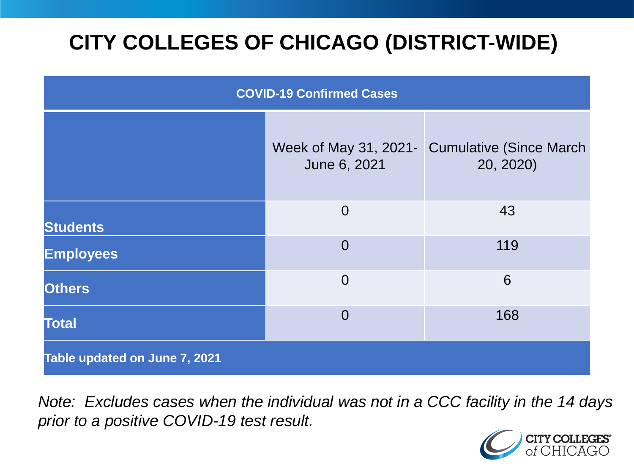# **CITY COLLEGES OF CHICAGO (DISTRICT-WIDE)**

| <b>COVID-19 Confirmed Cases</b> |                                       |                                              |
|---------------------------------|---------------------------------------|----------------------------------------------|
|                                 | Week of May 31, 2021-<br>June 6, 2021 | <b>Cumulative (Since March)</b><br>20, 2020) |
| <b>Students</b>                 | $\overline{0}$                        | 43                                           |
| <b>Employees</b>                | $\Omega$                              | 119                                          |
| <b>Others</b>                   | $\overline{0}$                        | 6                                            |
| <b>Total</b>                    | $\Omega$                              | 168                                          |
| Table updated on June 7, 2021   |                                       |                                              |

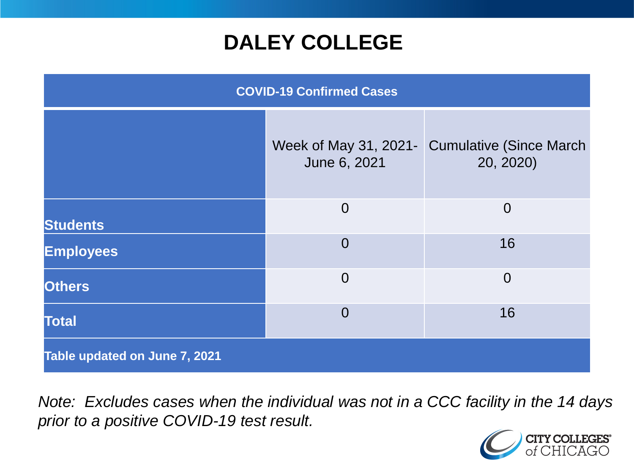### **DALEY COLLEGE**

| <b>COVID-19 Confirmed Cases</b> |                |                                                            |
|---------------------------------|----------------|------------------------------------------------------------|
|                                 | June 6, 2021   | Week of May 31, 2021- Cumulative (Since March<br>20, 2020) |
| <b>Students</b>                 | $\overline{0}$ | $\overline{0}$                                             |
| <b>Employees</b>                | $\Omega$       | 16                                                         |
| <b>Others</b>                   | $\overline{0}$ | $\overline{0}$                                             |
| <b>Total</b>                    | $\overline{0}$ | 16                                                         |
| Table updated on June 7, 2021   |                |                                                            |

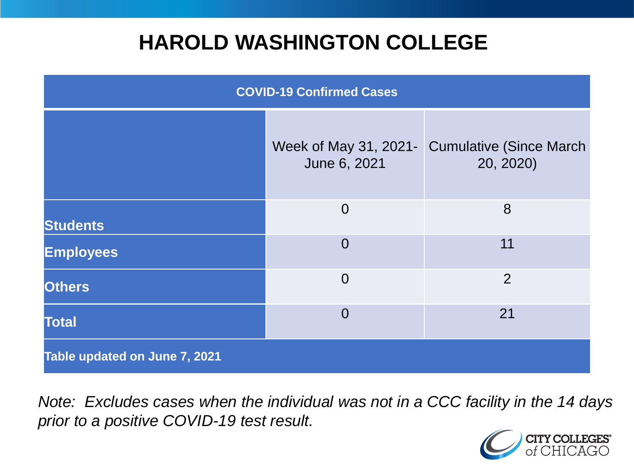### **HAROLD WASHINGTON COLLEGE**

| <b>COVID-19 Confirmed Cases</b> |                                       |                                              |
|---------------------------------|---------------------------------------|----------------------------------------------|
|                                 | Week of May 31, 2021-<br>June 6, 2021 | <b>Cumulative (Since March)</b><br>20, 2020) |
| <b>Students</b>                 | $\overline{0}$                        | 8                                            |
| <b>Employees</b>                | $\Omega$                              | 11                                           |
| <b>Others</b>                   | $\overline{0}$                        | $\overline{2}$                               |
| <b>Total</b>                    | $\Omega$                              | 21                                           |
| Table updated on June 7, 2021   |                                       |                                              |

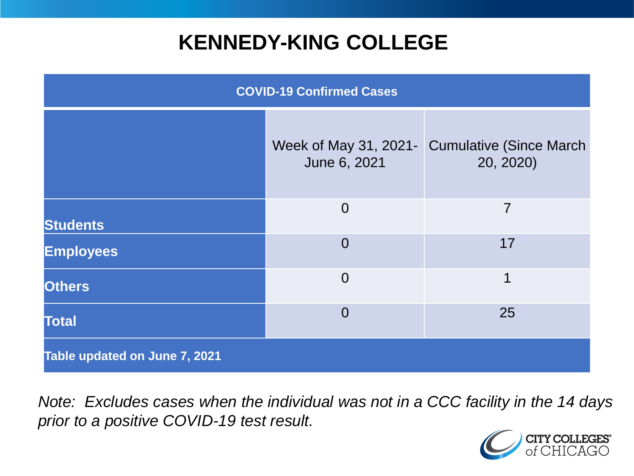### **KENNEDY-KING COLLEGE**

| <b>COVID-19 Confirmed Cases</b> |                                       |                                             |
|---------------------------------|---------------------------------------|---------------------------------------------|
|                                 | Week of May 31, 2021-<br>June 6, 2021 | <b>Cumulative (Since March</b><br>20, 2020) |
| <b>Students</b>                 | $\overline{0}$                        | 7                                           |
| <b>Employees</b>                | $\overline{0}$                        | 17                                          |
| <b>Others</b>                   | $\overline{0}$                        | 1                                           |
| <b>Total</b>                    | $\overline{0}$                        | 25                                          |
| Table updated on June 7, 2021   |                                       |                                             |

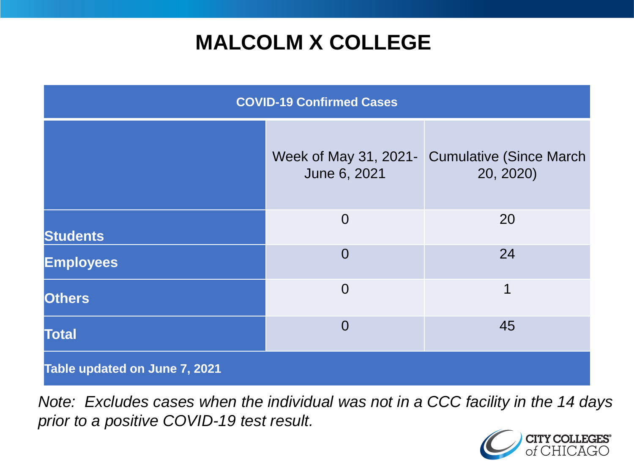## **MALCOLM X COLLEGE**

| <b>COVID-19 Confirmed Cases</b> |                |                                                            |
|---------------------------------|----------------|------------------------------------------------------------|
|                                 | June 6, 2021   | Week of May 31, 2021- Cumulative (Since March<br>20, 2020) |
| <b>Students</b>                 | $\overline{0}$ | 20                                                         |
| <b>Employees</b>                | $\Omega$       | 24                                                         |
| <b>Others</b>                   | $\overline{0}$ | 1                                                          |
| <b>Total</b>                    | $\overline{0}$ | 45                                                         |
| Table updated on June 7, 2021   |                |                                                            |

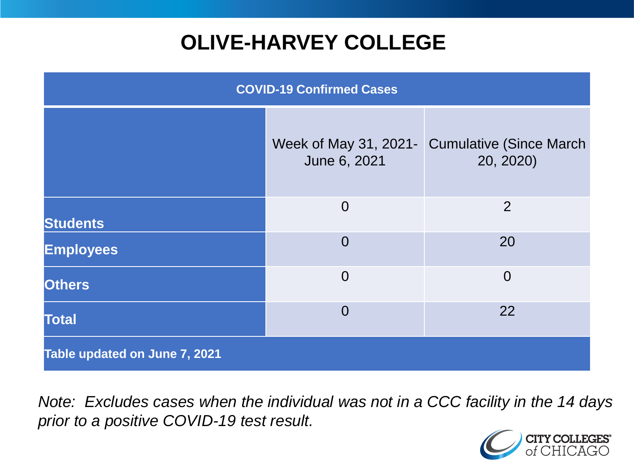# **OLIVE-HARVEY COLLEGE**

| <b>COVID-19 Confirmed Cases</b> |                                       |                                              |
|---------------------------------|---------------------------------------|----------------------------------------------|
|                                 | Week of May 31, 2021-<br>June 6, 2021 | <b>Cumulative (Since March)</b><br>20, 2020) |
| <b>Students</b>                 | $\overline{0}$                        | 2                                            |
| <b>Employees</b>                | $\Omega$                              | 20                                           |
| <b>Others</b>                   | $\overline{0}$                        | $\overline{0}$                               |
| <b>Total</b>                    | $\overline{0}$                        | 22                                           |
| Table updated on June 7, 2021   |                                       |                                              |

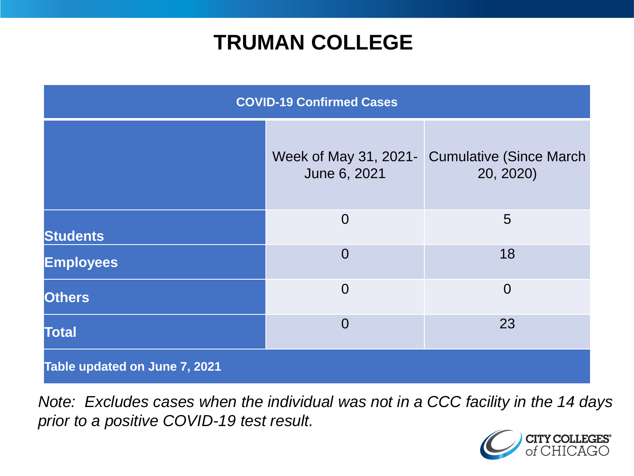### **TRUMAN COLLEGE**

| <b>COVID-19 Confirmed Cases</b> |                                       |                                              |
|---------------------------------|---------------------------------------|----------------------------------------------|
|                                 | Week of May 31, 2021-<br>June 6, 2021 | <b>Cumulative (Since March)</b><br>20, 2020) |
| <b>Students</b>                 | $\overline{0}$                        | 5                                            |
| <b>Employees</b>                | $\overline{0}$                        | 18                                           |
| <b>Others</b>                   | $\overline{0}$                        | $\overline{0}$                               |
| <b>Total</b>                    | $\overline{0}$                        | 23                                           |
| Table updated on June 7, 2021   |                                       |                                              |

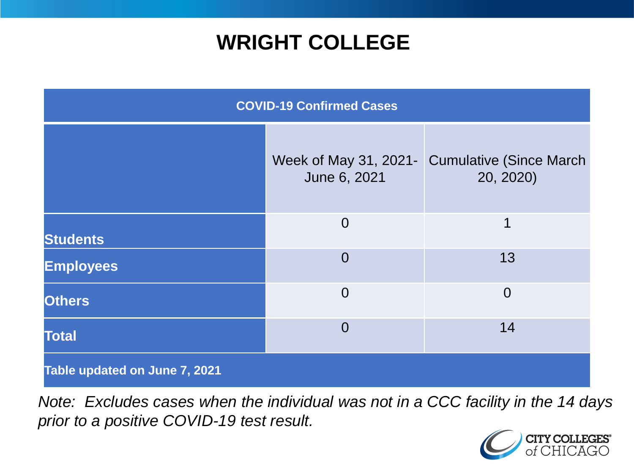### **WRIGHT COLLEGE**

| <b>COVID-19 Confirmed Cases</b> |                                       |                                              |
|---------------------------------|---------------------------------------|----------------------------------------------|
|                                 | Week of May 31, 2021-<br>June 6, 2021 | <b>Cumulative (Since March)</b><br>20, 2020) |
| <b>Students</b>                 | $\overline{0}$                        | 1                                            |
| <b>Employees</b>                | $\overline{0}$                        | 13                                           |
| <b>Others</b>                   | $\overline{0}$                        | $\overline{0}$                               |
| <b>Total</b>                    | $\Omega$                              | 14                                           |
| Table updated on June 7, 2021   |                                       |                                              |